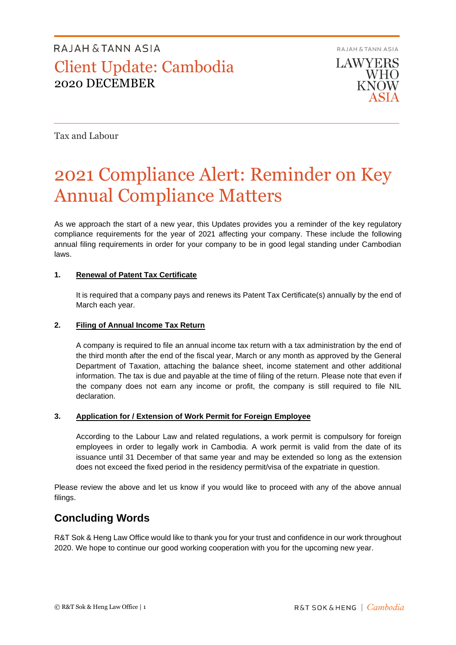**RAJAH & TANN ASIA** 

**LAWYERS WHO KNOW** 

Tax and Labour

# 2021 Compliance Alert: Reminder on Key Annual Compliance Matters

As we approach the start of a new year, this Updates provides you a reminder of the key regulatory compliance requirements for the year of 2021 affecting your company. These include the following annual filing requirements in order for your company to be in good legal standing under Cambodian laws.

### **1. Renewal of Patent Tax Certificate**

It is required that a company pays and renews its Patent Tax Certificate(s) annually by the end of March each year.

### **2. Filing of Annual Income Tax Return**

A company is required to file an annual income tax return with a tax administration by the end of the third month after the end of the fiscal year, March or any month as approved by the General Department of Taxation, attaching the balance sheet, income statement and other additional information. The tax is due and payable at the time of filing of the return. Please note that even if the company does not earn any income or profit, the company is still required to file NIL declaration.

### **3. Application for / Extension of Work Permit for Foreign Employee**

According to the Labour Law and related regulations, a work permit is compulsory for foreign employees in order to legally work in Cambodia. A work permit is valid from the date of its issuance until 31 December of that same year and may be extended so long as the extension does not exceed the fixed period in the residency permit/visa of the expatriate in question.

Please review the above and let us know if you would like to proceed with any of the above annual filings.

## **Concluding Words**

R&T Sok & Heng Law Office would like to thank you for your trust and confidence in our work throughout 2020. We hope to continue our good working cooperation with you for the upcoming new year.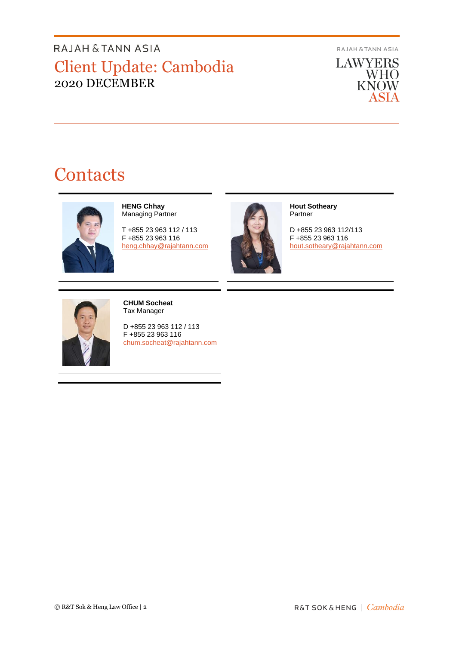**RAJAH & TANN ASIA** 

**LAWYERS** WHO<br>KNOW ASIA

# **Contacts**



**HENG Chhay** Managing Partner

T +855 23 963 112 / 113 F +855 23 963 116 [heng.chhay@rajahtann.com](mailto:heng.chhay@rajahtann.com)



**Hout Sotheary** Partner

D +855 23 963 112/113 F +855 23 963 116 [hout.sotheary@rajahtann.com](mailto:hout.sotheary@rajahtann.com)



**CHUM Socheat** Tax Manager

D +855 23 963 112 / 113 F +855 23 963 116 [chum.socheat@rajahtann.com](mailto:chum.socheat@rajahtann.com)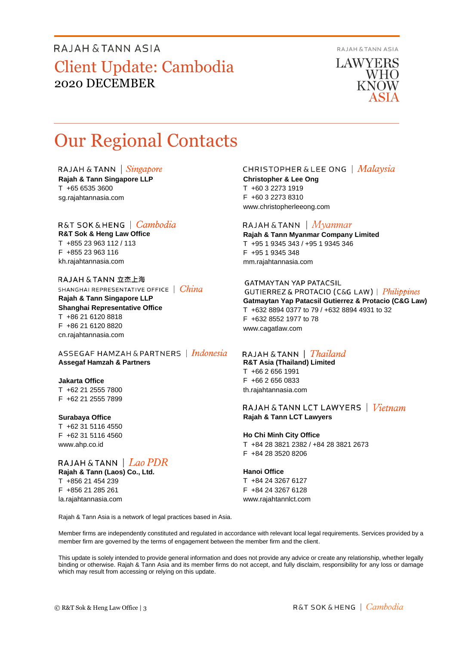**RAJAH & TANN ASIA** 

**LAWYERS** WHO **KNOW** 

# Our Regional Contacts

RAJAH & TANN  $\int$  *Singapore* **Rajah & Tann Singapore LLP** T +65 6535 3600 sg.rajahtannasia.com

### R&T SOK&HENG | Cambodia

**R&T Sok & Heng Law Office** T +855 23 963 112 / 113 F +855 23 963 116 kh.rajahtannasia.com

RAJAH & TANN 立杰上海 SHANGHAI REPRESENTATIVE OFFICE | China

**Rajah & Tann Singapore LLP Shanghai Representative Office** T +86 21 6120 8818 F +86 21 6120 8820 cn.rajahtannasia.com

ASSEGAF HAMZAH & PARTNERS | Indonesia **Assegaf Hamzah & Partners**

#### **Jakarta Office**

T +62 21 2555 7800 F +62 21 2555 7899

#### **Surabaya Office**

T +62 31 5116 4550 F +62 31 5116 4560 www.ahp.co.id

## RAJAH & TANN | Lao PDR

**Rajah & Tann (Laos) Co., Ltd.** T +856 21 454 239 F +856 21 285 261 la.rajahtannasia.com

### **CHRISTOPHER & LEE ONG** | Malaysia

**Christopher & Lee Ong** T +60 3 2273 1919 F +60 3 2273 8310 www.christopherleeong.com

#### RAJAH & TANN  $\mid$  *Myanmar*

**Rajah & Tann Myanmar Company Limited** T +95 1 9345 343 / +95 1 9345 346 F +95 1 9345 348 mm.rajahtannasia.com

#### **GATMAYTAN YAP PATACSIL**

**GUTIERREZ & PROTACIO (C&G LAW)** | *Philippines* **Gatmaytan Yap Patacsil Gutierrez & Protacio (C&G Law)**  T +632 8894 0377 to 79 / +632 8894 4931 to 32 F +632 8552 1977 to 78 www.cagatlaw.com

### RAJAH & TANN | *Thailand*

**R&T Asia (Thailand) Limited** T +66 2 656 1991 F +66 2 656 0833 th.rajahtannasia.com

#### RAJAH & TANN LCT LAWYERS | Vietnam **Rajah & Tann LCT Lawyers**

#### **Ho Chi Minh City Office**

T +84 28 3821 2382 / +84 28 3821 2673 F +84 28 3520 8206

#### **Hanoi Office**

T +84 24 3267 6127 F +84 24 3267 6128 www.rajahtannlct.com

Rajah & Tann Asia is a network of legal practices based in Asia.

Member firms are independently constituted and regulated in accordance with relevant local legal requirements. Services provided by a member firm are governed by the terms of engagement between the member firm and the client.

This update is solely intended to provide general information and does not provide any advice or create any relationship, whether legally binding or otherwise. Rajah & Tann Asia and its member firms do not accept, and fully disclaim, responsibility for any loss or damage which may result from accessing or relying on this update.